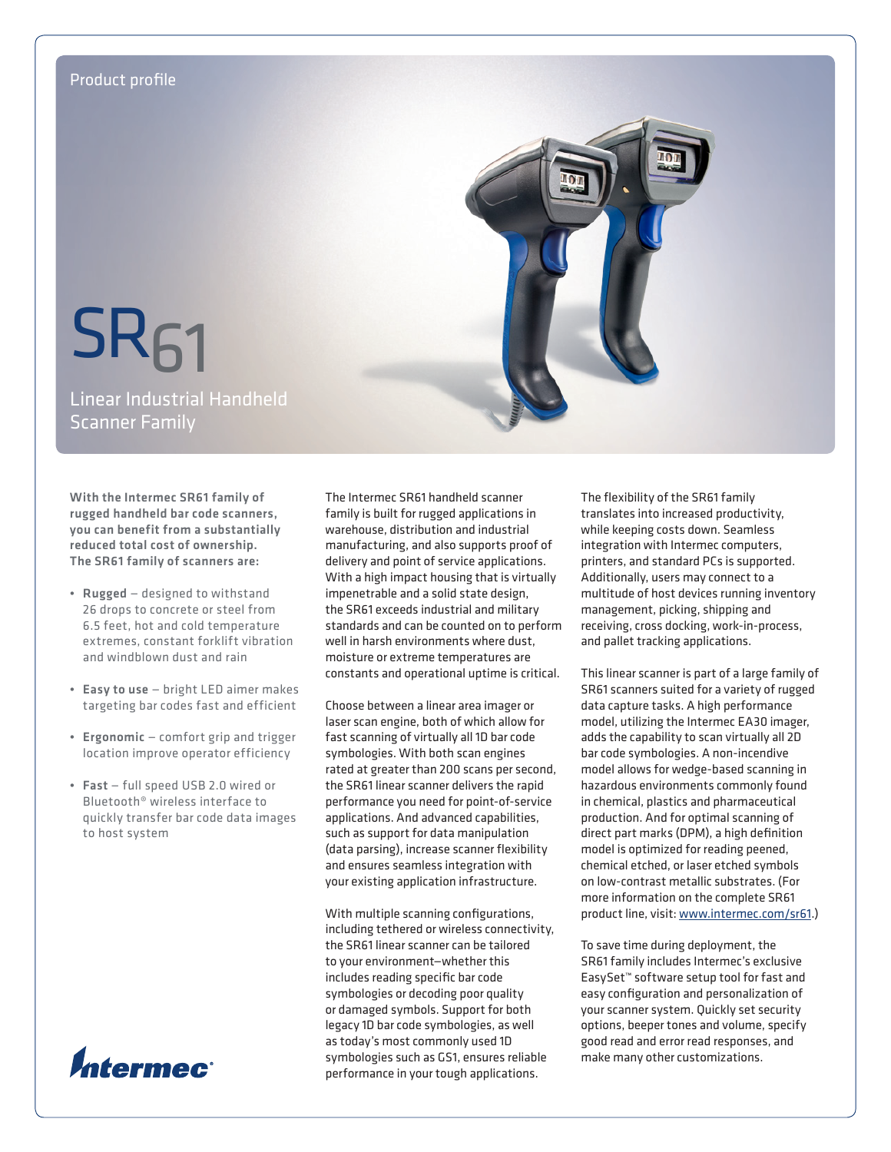

With the Intermec SR61 family of rugged handheld bar code scanners, you can benefit from a substantially reduced total cost of ownership. The SR61 family of scanners are:

- Rugged designed to withstand 26 drops to concrete or steel from 6.5 feet, hot and cold temperature extremes, constant forklift vibration and windblown dust and rain
- • Easy to use bright LED aimer makes targeting bar codes fast and efficient
- Ergonomic comfort grip and trigger location improve operator efficiency
- • Fast full speed USB 2.0 wired or Bluetooth® wireless interface to quickly transfer bar code data images to host system



The Intermec SR61 handheld scanner family is built for rugged applications in warehouse, distribution and industrial manufacturing, and also supports proof of delivery and point of service applications. With a high impact housing that is virtually impenetrable and a solid state design, the SR61 exceeds industrial and military standards and can be counted on to perform well in harsh environments where dust, moisture or extreme temperatures are constants and operational uptime is critical.

Choose between a linear area imager or laser scan engine, both of which allow for fast scanning of virtually all 1D bar code symbologies. With both scan engines rated at greater than 200 scans per second, the SR61 linear scanner delivers the rapid performance you need for point-of-service applications. And advanced capabilities, such as support for data manipulation (data parsing), increase scanner flexibility and ensures seamless integration with your existing application infrastructure.

With multiple scanning configurations, including tethered or wireless connectivity, the SR61 linear scanner can be tailored to your environment—whether this includes reading specific bar code symbologies or decoding poor quality or damaged symbols. Support for both legacy 1D bar code symbologies, as well as today's most commonly used 1D symbologies such as GS1, ensures reliable performance in your tough applications.

The flexibility of the SR61 family translates into increased productivity, while keeping costs down. Seamless integration with Intermec computers, printers, and standard PCs is supported. Additionally, users may connect to a multitude of host devices running inventory management, picking, shipping and receiving, cross docking, work-in-process, and pallet tracking applications.

This linear scanner is part of a large family of SR61 scanners suited for a variety of rugged data capture tasks. A high performance model, utilizing the Intermec EA30 imager, adds the capability to scan virtually all 2D bar code symbologies. A non-incendive model allows for wedge-based scanning in hazardous environments commonly found in chemical, plastics and pharmaceutical production. And for optimal scanning of direct part marks (DPM), a high definition model is optimized for reading peened, chemical etched, or laser etched symbols on low-contrast metallic substrates. (For more information on the complete SR61 product line, visit: [www.intermec.com/sr61.](www.intermec.com/sr61))

To save time during deployment, the SR61 family includes Intermec's exclusive EasySet™ software setup tool for fast and easy configuration and personalization of your scanner system. Quickly set security options, beeper tones and volume, specify good read and error read responses, and make many other customizations.